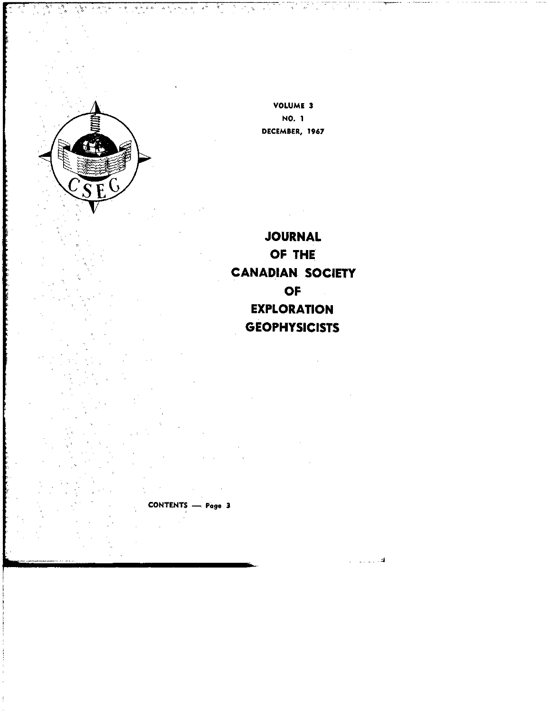

VOLUME 3 NO. 1 DECEMBER, 1967

Times (1971)<br>De la Galilla

 $\ddot{\mathbf{r}}$ 

 $\mathcal{R}^{(1)}_{\mathcal{A}}$  ,  $\mathcal{R}^{(2)}_{\mathcal{A}}$ 

is C

7. J

 $\frac{1}{2}$ 

أهديت

**JOURNAL** OF THE **CANADIAN SOCIETY OF EXPLORATION GEOPHYSICISTS** 

CONTENTS - Page 3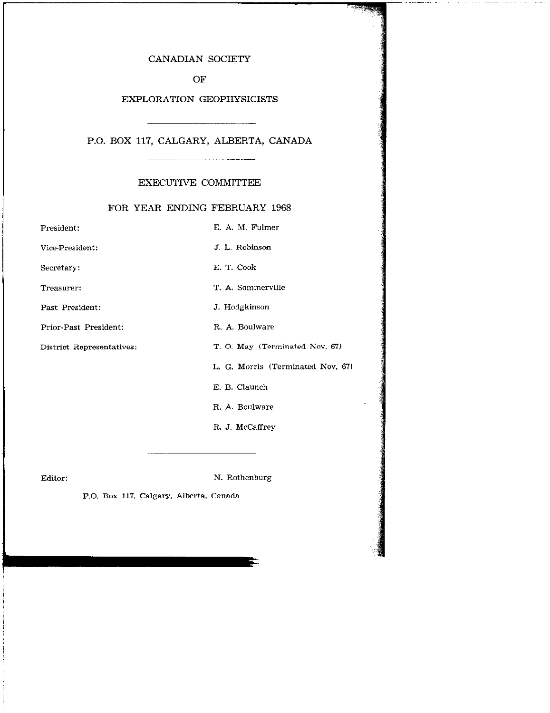## CANADIAN SOCIETY

**PARTIES** 

OF

## EXPLORATION GEOPHYSICISTS

## P.O. BOX 117, CALGARY, ALBERTA, CANADA

### EXECUTIVE COMMITTEE

## FOR YEAR ENDING FEBRUARY 1968

| President:                | E. A. M. Fulmer                   |
|---------------------------|-----------------------------------|
| Vice-President:           | J. L. Robinson                    |
| Secretary:                | E. T. Cook                        |
| Treasurer:                | T. A. Sommerville                 |
| Past President:           | J. Hodgkinson                     |
| Prior-Past President:     | R. A. Boulware                    |
| District Representatives: | T. O. May (Terminated Nov. 67)    |
|                           | L. G. Morris (Terminated Nov. 67) |
|                           | E. B. Claunch                     |
|                           | R. A. Boulware                    |
|                           | R. J. McCaffrey                   |

Editor: N. Rothenburg

Е

P.O. Box 117, Calgary, Alberta, Canada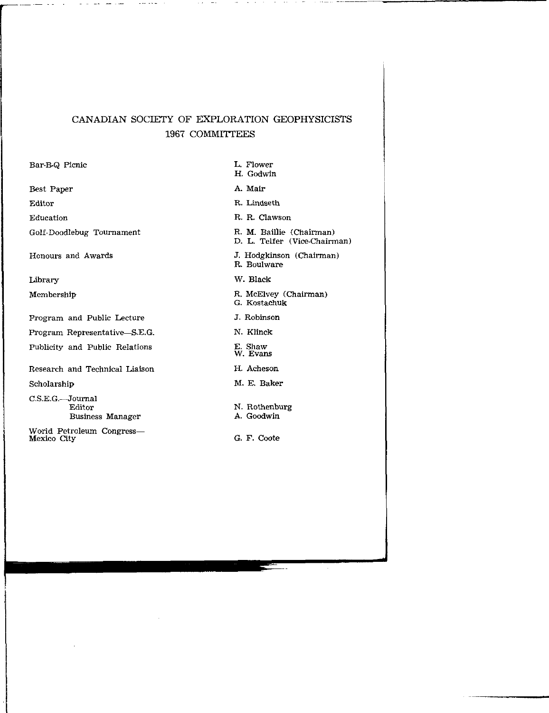# CANADIAN SOCIETY OF EXPLORATION GEOPHYSICISTS 1967 COMMITTEES

 $\omega_{\rm{eff}}$  , and  $\omega_{\rm{eff}}$ 

 $\sim$  1000 km as  $\sim$  1000 km as  $^{-1}$ 

| Bar-B-Q Picnic                                   | L. Flower<br>H. Godwin                                   |
|--------------------------------------------------|----------------------------------------------------------|
| Best Paper                                       | A. Mair                                                  |
| Editor                                           | R. Lindseth                                              |
| Education                                        | R. R. Clawson                                            |
| Golf-Doodlebug Tournament                        | R. M. Baillie (Chairman)<br>D. L. Telfer (Vice-Chairman) |
| Honours and Awards                               | J. Hodgkinson (Chairman)<br>R. Boulware                  |
| Library                                          | W. Black                                                 |
| Membership                                       | R. McElvey (Chairman)<br>G. Kostachuk                    |
| Program and Public Lecture                       | J. Robinson                                              |
| Program Representative—S.E.G.                    | N. Klinck                                                |
| Publicity and Public Relations                   | E. Shaw<br>W. Evans                                      |
| Research and Technical Liaison                   | H. Acheson                                               |
| Scholarship                                      | M. E. Baker                                              |
| $C.S.E.G.$ Journal<br>Editor<br>Business Manager | N. Rothenburg<br>A. Goodwin                              |
| World Petroleum Congress—<br>Mexico City         | G. F. Coote                                              |

 $\sim$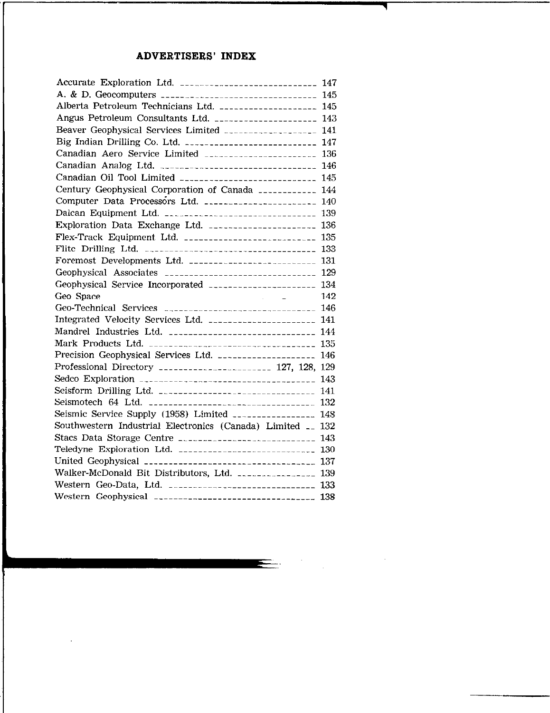# ADVERTISERS' INDEX

| Accurate Exploration Ltd. __________________________ 147     |  |
|--------------------------------------------------------------|--|
| A. & D. Geocomputers _________________________________ 145   |  |
| Alberta Petroleum Technicians Ltd. ___________________ 145   |  |
| Angus Petroleum Consultants Ltd.  143                        |  |
| Beaver Geophysical Services Limited __________________ 141   |  |
| Big Indian Drilling Co. Ltd. _________________________ 147   |  |
| Canadian Aero Service Limited ______________________ 136     |  |
| Canadian Analog Ltd. _______________________________ 146     |  |
| Canadian Oil Tool Limited 22222222222222222222222222 145     |  |
| Century Geophysical Corporation of Canada ___________ 144    |  |
| Computer Data Processors Ltd. ______________________ 140     |  |
| Dalcan Equipment Ltd. __________________________________ 139 |  |
| Exploration Data Exchange Ltd. ______________________ 136    |  |
| Flex-Track Equipment Ltd. ___________________________ 135    |  |
|                                                              |  |
| Foremost Developments Ltd. ________________________ 131      |  |
| Geophysical Associates ______________________________ 129    |  |
| Geophysical Service Incorporated ____________________ 134    |  |
|                                                              |  |
| Geo-Technical Services _____________________________ 146     |  |
| Integrated Velocity Services Ltd. _____________________ 141  |  |
| Mandrel Industries Ltd. _____________________________ 144    |  |
| Mark Products Ltd. __________________________________ 135    |  |
| Precision Geophysical Services Ltd.  146                     |  |
| Professional Directory _____________________ 127, 128, 129   |  |
| Sedco Exploration ___________________________________ 143    |  |
| Seisform Drilling Ltd. ______________________________ 141    |  |
| Seismotech 64 Ltd. __________________________________ 132    |  |
| Seismic Service Supply (1958) Limited _______________ 148    |  |
| Southwestern Industrial Electronics (Canada) Limited __ 132  |  |
|                                                              |  |
| Teledyne Exploration Ltd. ___________________________ 130    |  |
| United Geophysical ___________________________________ 137   |  |
| Walker-McDonald Bit Distributors, Ltd. _______________ 139   |  |
| Western Geo-Data, Ltd. ______________________________ 133    |  |
| Western Geophysical __________________________________ 138   |  |

 $\ddot{\phantom{a}}$ 

 $\label{eq:2.1} \frac{1}{\sqrt{2}}\int_{\mathbb{R}^3} \frac{1}{\sqrt{2}}\left(\frac{1}{\sqrt{2}}\right)^2\frac{1}{\sqrt{2}}\left(\frac{1}{\sqrt{2}}\right)^2\frac{1}{\sqrt{2}}\left(\frac{1}{\sqrt{2}}\right)^2.$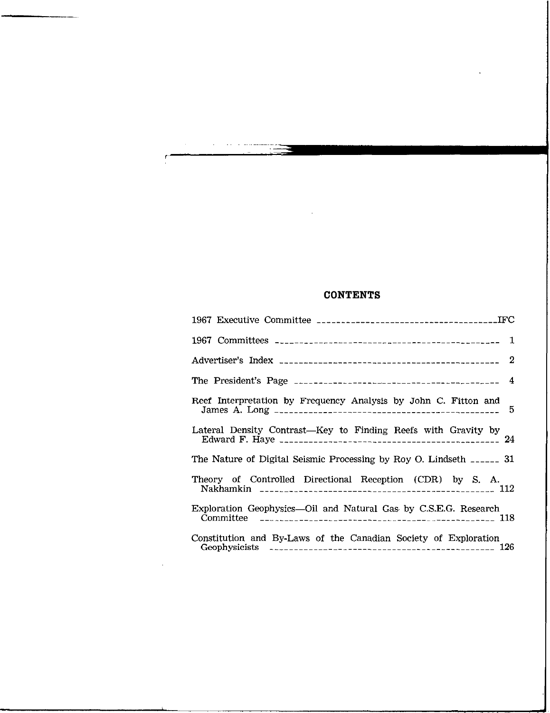# CONTENTS

 $\bar{z}$ 

 $\ddot{\phantom{a}}$ 

| Reef Interpretation by Frequency Analysis by John C. Fitton and         |
|-------------------------------------------------------------------------|
| Lateral Density Contrast—Key to Finding Reefs with Gravity by           |
| The Nature of Digital Seismic Processing by Roy O. Lindseth ______ 31   |
| Theory of Controlled Directional Reception (CDR) by S. A.<br>$\sim$ 112 |
| Exploration Geophysics—Oil and Natural Gas by C.S.E.G. Research         |
| Constitution and By-Laws of the Canadian Society of Exploration         |